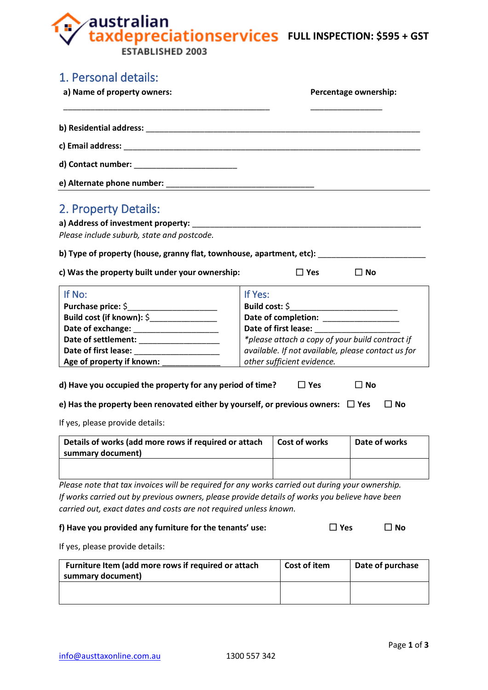**Fully respectively and SULL INSPECTION: \$595 + GST** ÷

ESTABLISHED 2003

| 2. Property Details:<br>Please include suburb, state and postcode.<br>b) Type of property (house, granny flat, townhouse, apartment, etc):<br>$\Box$ Yes<br>c) Was the property built under your ownership:<br>If No:<br>If Yes:<br>Build cost (if known): \$_________________<br>Date of completion: ___________________<br>Date of exchange: ________________________<br>*please attach a copy of your build contract if<br>available. If not available, please contact us for<br>other sufficient evidence.<br>Age of property if known: ____________<br>d) Have you occupied the property for any period of time?<br>$\Box$ Yes<br>e) Has the property been renovated either by yourself, or previous owners: $\Box$ Yes<br>If yes, please provide details:<br>Details of works (add more rows if required or attach<br><b>Cost of works</b><br>summary document) | $\square$ No     |
|-----------------------------------------------------------------------------------------------------------------------------------------------------------------------------------------------------------------------------------------------------------------------------------------------------------------------------------------------------------------------------------------------------------------------------------------------------------------------------------------------------------------------------------------------------------------------------------------------------------------------------------------------------------------------------------------------------------------------------------------------------------------------------------------------------------------------------------------------------------------------|------------------|
|                                                                                                                                                                                                                                                                                                                                                                                                                                                                                                                                                                                                                                                                                                                                                                                                                                                                       |                  |
|                                                                                                                                                                                                                                                                                                                                                                                                                                                                                                                                                                                                                                                                                                                                                                                                                                                                       |                  |
|                                                                                                                                                                                                                                                                                                                                                                                                                                                                                                                                                                                                                                                                                                                                                                                                                                                                       |                  |
|                                                                                                                                                                                                                                                                                                                                                                                                                                                                                                                                                                                                                                                                                                                                                                                                                                                                       |                  |
|                                                                                                                                                                                                                                                                                                                                                                                                                                                                                                                                                                                                                                                                                                                                                                                                                                                                       |                  |
|                                                                                                                                                                                                                                                                                                                                                                                                                                                                                                                                                                                                                                                                                                                                                                                                                                                                       |                  |
|                                                                                                                                                                                                                                                                                                                                                                                                                                                                                                                                                                                                                                                                                                                                                                                                                                                                       |                  |
|                                                                                                                                                                                                                                                                                                                                                                                                                                                                                                                                                                                                                                                                                                                                                                                                                                                                       |                  |
|                                                                                                                                                                                                                                                                                                                                                                                                                                                                                                                                                                                                                                                                                                                                                                                                                                                                       |                  |
|                                                                                                                                                                                                                                                                                                                                                                                                                                                                                                                                                                                                                                                                                                                                                                                                                                                                       |                  |
|                                                                                                                                                                                                                                                                                                                                                                                                                                                                                                                                                                                                                                                                                                                                                                                                                                                                       |                  |
|                                                                                                                                                                                                                                                                                                                                                                                                                                                                                                                                                                                                                                                                                                                                                                                                                                                                       |                  |
|                                                                                                                                                                                                                                                                                                                                                                                                                                                                                                                                                                                                                                                                                                                                                                                                                                                                       |                  |
|                                                                                                                                                                                                                                                                                                                                                                                                                                                                                                                                                                                                                                                                                                                                                                                                                                                                       |                  |
|                                                                                                                                                                                                                                                                                                                                                                                                                                                                                                                                                                                                                                                                                                                                                                                                                                                                       |                  |
|                                                                                                                                                                                                                                                                                                                                                                                                                                                                                                                                                                                                                                                                                                                                                                                                                                                                       |                  |
|                                                                                                                                                                                                                                                                                                                                                                                                                                                                                                                                                                                                                                                                                                                                                                                                                                                                       | $\square$ No     |
|                                                                                                                                                                                                                                                                                                                                                                                                                                                                                                                                                                                                                                                                                                                                                                                                                                                                       | $\Box$ No        |
|                                                                                                                                                                                                                                                                                                                                                                                                                                                                                                                                                                                                                                                                                                                                                                                                                                                                       |                  |
|                                                                                                                                                                                                                                                                                                                                                                                                                                                                                                                                                                                                                                                                                                                                                                                                                                                                       | Date of works    |
|                                                                                                                                                                                                                                                                                                                                                                                                                                                                                                                                                                                                                                                                                                                                                                                                                                                                       |                  |
|                                                                                                                                                                                                                                                                                                                                                                                                                                                                                                                                                                                                                                                                                                                                                                                                                                                                       |                  |
| Please note that tax invoices will be required for any works carried out during your ownership.                                                                                                                                                                                                                                                                                                                                                                                                                                                                                                                                                                                                                                                                                                                                                                       |                  |
| If works carried out by previous owners, please provide details of works you believe have been                                                                                                                                                                                                                                                                                                                                                                                                                                                                                                                                                                                                                                                                                                                                                                        |                  |
| carried out, exact dates and costs are not required unless known.                                                                                                                                                                                                                                                                                                                                                                                                                                                                                                                                                                                                                                                                                                                                                                                                     |                  |
| f) Have you provided any furniture for the tenants' use:<br>$\square$ Yes                                                                                                                                                                                                                                                                                                                                                                                                                                                                                                                                                                                                                                                                                                                                                                                             | $\Box$ No        |
| If yes, please provide details:                                                                                                                                                                                                                                                                                                                                                                                                                                                                                                                                                                                                                                                                                                                                                                                                                                       |                  |
| <b>Cost of item</b><br>Furniture Item (add more rows if required or attach<br>summary document)                                                                                                                                                                                                                                                                                                                                                                                                                                                                                                                                                                                                                                                                                                                                                                       | Date of purchase |
|                                                                                                                                                                                                                                                                                                                                                                                                                                                                                                                                                                                                                                                                                                                                                                                                                                                                       |                  |
|                                                                                                                                                                                                                                                                                                                                                                                                                                                                                                                                                                                                                                                                                                                                                                                                                                                                       |                  |
|                                                                                                                                                                                                                                                                                                                                                                                                                                                                                                                                                                                                                                                                                                                                                                                                                                                                       |                  |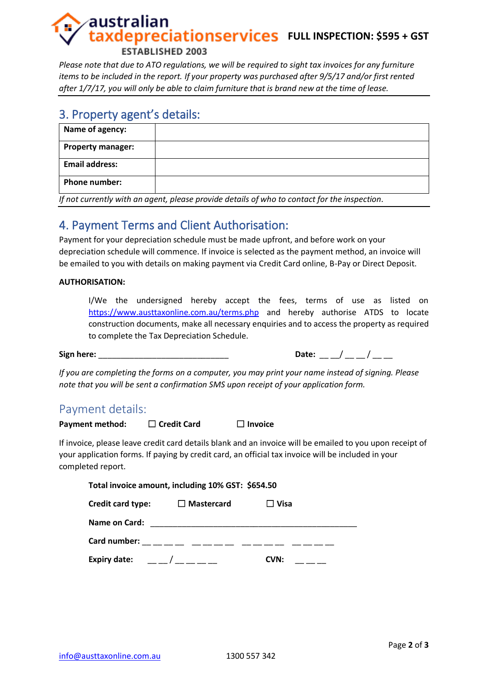# australian **Eaxdepreciationservices** FULL INSPECTION: \$595 + GST **ESTABLISHED 2003**

*Please note that due to ATO regulations, we will be required to sight tax invoices for any furniture items to be included in the report. If your property was purchased after 9/5/17 and/or first rented after 1/7/17, you will only be able to claim furniture that is brand new at the time of lease.*

## 3. Property agent's details:

| Name of agency:          |  |
|--------------------------|--|
| <b>Property manager:</b> |  |
| <b>Email address:</b>    |  |
| <b>Phone number:</b>     |  |

*If not currently with an agent, please provide details of who to contact for the inspection.*

# 4. Payment Terms and Client Authorisation:

Payment for your depreciation schedule must be made upfront, and before work on your depreciation schedule will commence. If invoice is selected as the payment method, an invoice will be emailed to you with details on making payment via Credit Card online, B-Pay or Direct Deposit.

#### **AUTHORISATION:**

I/We the undersigned hereby accept the fees, terms of use as listed on <https://www.austtaxonline.com.au/terms.php> and hereby authorise ATDS to locate construction documents, make all necessary enquiries and to access the property as required to complete the Tax Depreciation Schedule.

**Sign here:** \_\_\_\_\_\_\_\_\_\_\_\_\_\_\_\_\_\_\_\_\_\_\_\_\_\_\_\_\_ **Date:** \_\_ \_\_/ \_\_ \_\_ / \_\_ \_\_

*If you are completing the forms on a computer, you may print your name instead of signing. Please note that you will be sent a confirmation SMS upon receipt of your application form.*

## Payment details:

**Payment method:** ☐ **Credit Card** ☐ **Invoice**

If invoice, please leave credit card details blank and an invoice will be emailed to you upon receipt of your application forms. If paying by credit card, an official tax invoice will be included in your completed report.

| Total invoice amount, including 10% GST: \$654.50                                                                                                                                                                                                                                                                  |                   |                |  |  |  |
|--------------------------------------------------------------------------------------------------------------------------------------------------------------------------------------------------------------------------------------------------------------------------------------------------------------------|-------------------|----------------|--|--|--|
| Credit card type:                                                                                                                                                                                                                                                                                                  | $\Box$ Mastercard | $\square$ Visa |  |  |  |
| Name on Card:                                                                                                                                                                                                                                                                                                      |                   |                |  |  |  |
| Card number:                                                                                                                                                                                                                                                                                                       |                   |                |  |  |  |
| Expiry date: $\frac{1}{2}$ $\frac{1}{2}$ $\frac{1}{2}$ $\frac{1}{2}$ $\frac{1}{2}$ $\frac{1}{2}$ $\frac{1}{2}$ $\frac{1}{2}$ $\frac{1}{2}$ $\frac{1}{2}$ $\frac{1}{2}$ $\frac{1}{2}$ $\frac{1}{2}$ $\frac{1}{2}$ $\frac{1}{2}$ $\frac{1}{2}$ $\frac{1}{2}$ $\frac{1}{2}$ $\frac{1}{2}$ $\frac{1}{2}$ $\frac{1}{2}$ |                   | CVN:           |  |  |  |